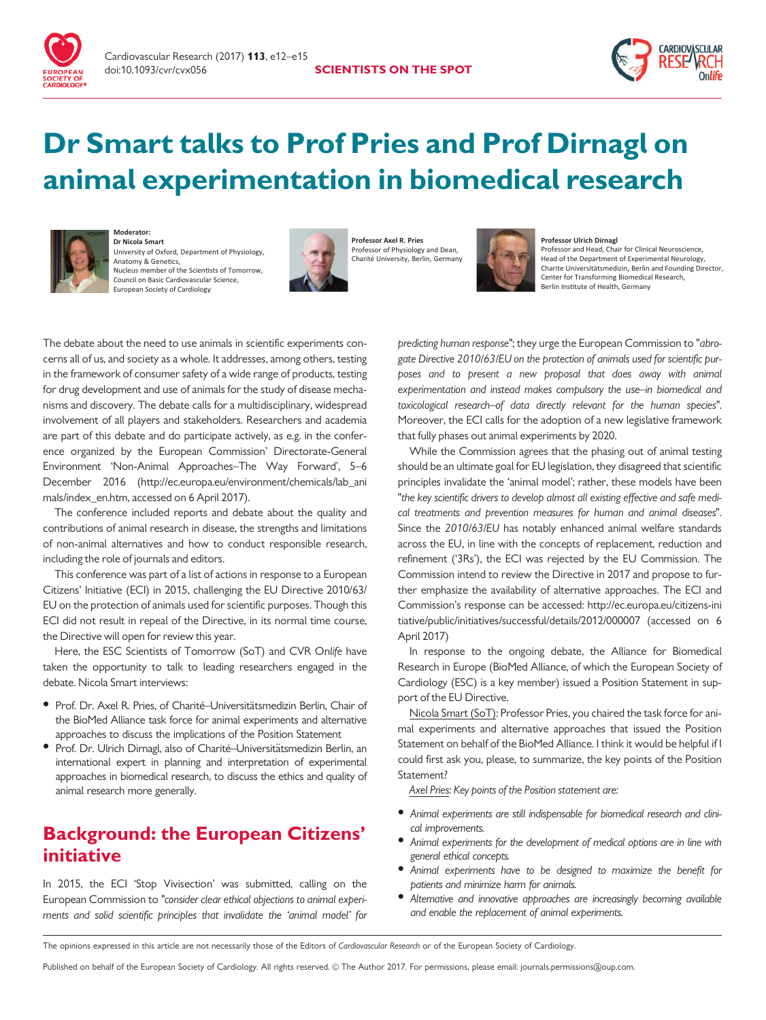



# Dr Smart talks to Prof Pries and Prof Dirnagl on animal experimentation in biomedical research



**Moderator: Dr Nicola Smart** University of Oxford, Department of Physiology, Anatomy & Genetics, Nucleus member of the Scientists of Tomorrow, Council on Basic Cardiovascular Science, European Society of Cardiology



**Professor Axel R. Pries** Professor of Physiology and Dean, Charité University, Berlin, Germany



#### **Professor Ulrich Dirnagl**

Professor and Head, Chair for Clinical Neuroscience, Head of the Department of Experimental Neurology, Charite Universitätsmedizin, Berlin and Founding Director, Center for Transforming Biomedical Research,<br>Berlin Institute of Health, Germany

The debate about the need to use animals in scientific experiments concerns all of us, and society as a whole. It addresses, among others, testing in the framework of consumer safety of a wide range of products, testing for drug development and use of animals for the study of disease mechanisms and discovery. The debate calls for a multidisciplinary, widespread involvement of all players and stakeholders. Researchers and academia are part of this debate and do participate actively, as e.g. in the conference organized by the European Commission' Directorate-General Environment 'Non-Animal Approaches–The Way Forward', 5–6 December 2016 ([http://ec.europa.eu/environment/chemicals/lab\\_ani](http://ec.europa.eu/environment/chemicals/lab_animals/index_en.htm) [mals/index\\_en.htm](http://ec.europa.eu/environment/chemicals/lab_animals/index_en.htm), accessed on 6 April 2017).

The conference included reports and debate about the quality and contributions of animal research in disease, the strengths and limitations of non-animal alternatives and how to conduct responsible research, including the role of journals and editors.

This conference was part of a list of actions in response to a European Citizens' Initiative (ECI) in 2015, challenging the EU Directive 2010/63/ EU on the protection of animals used for scientific purposes. Though this ECI did not result in repeal of the Directive, in its normal time course, the Directive will open for review this year.

Here, the ESC Scientists of Tomorrow (SoT) and CVR Onlife have taken the opportunity to talk to leading researchers engaged in the debate. Nicola Smart interviews:

- Prof. Dr. Axel R. Pries, of Charité–Universitätsmedizin Berlin, Chair of the BioMed Alliance task force for animal experiments and alternative approaches to discuss the implications of the Position Statement
- Prof. Dr. Ulrich Dirnagl, also of Charité-Universitätsmedizin Berlin, an international expert in planning and interpretation of experimental approaches in biomedical research, to discuss the ethics and quality of animal research more generally.

## Background: the European Citizens' initiative

In 2015, the ECI 'Stop Vivisection' was submitted, calling on the European Commission to "consider clear ethical objections to animal experiments and solid scientific principles that invalidate the 'animal model' for

predicting human response"; they urge the European Commission to "abrogate Directive 2010/63/EU on the protection of animals used for scientific purposes and to present a new proposal that does away with animal experimentation and instead makes compulsory the use–in biomedical and toxicological research–of data directly relevant for the human species". Moreover, the ECI calls for the adoption of a new legislative framework that fully phases out animal experiments by 2020.

While the Commission agrees that the phasing out of animal testing should be an ultimate goal for EU legislation, they disagreed that scientific principles invalidate the 'animal model'; rather, these models have been "the key scientific drivers to develop almost all existing effective and safe medical treatments and prevention measures for human and animal diseases". Since the 2010/63/EU has notably enhanced animal welfare standards across the EU, in line with the concepts of replacement, reduction and refinement ('3Rs'), the ECI was rejected by the EU Commission. The Commission intend to review the Directive in 2017 and propose to further emphasize the availability of alternative approaches. The ECI and Commission's response can be accessed: [http://ec.europa.eu/citizens-ini](http://ec.europa.eu/citizens-initiative/public/initiatives/successful/details/2012/000007) [tiative/public/initiatives/successful/details/2012/000007](http://ec.europa.eu/citizens-initiative/public/initiatives/successful/details/2012/000007) (accessed on 6 April 2017)

In response to the ongoing debate, the Alliance for Biomedical Research in Europe (BioMed Alliance, of which the European Society of Cardiology (ESC) is a key member) issued a Position Statement in support of the EU Directive.

Nicola Smart (SoT): Professor Pries, you chaired the task force for animal experiments and alternative approaches that issued the Position Statement on behalf of the BioMed Alliance. I think it would be helpful if I could first ask you, please, to summarize, the key points of the Position Statement?

Axel Pries: Key points of the Position statement are:

- Animal experiments are still indispensable for biomedical research and clinical improvements.
- Animal experiments for the development of medical options are in line with general ethical concepts.
- Animal experiments have to be designed to maximize the benefit for patients and minimize harm for animals.
- Alternative and innovative approaches are increasingly becoming available and enable the replacement of animal experiments.

The opinions expressed in this article are not necessarily those of the Editors of Cardiovascular Research or of the European Society of Cardiology.

Published on behalf of the European Society of Cardiology. All rights reserved. © The Author 2017. For permissions, please email: journals.permissions@oup.com.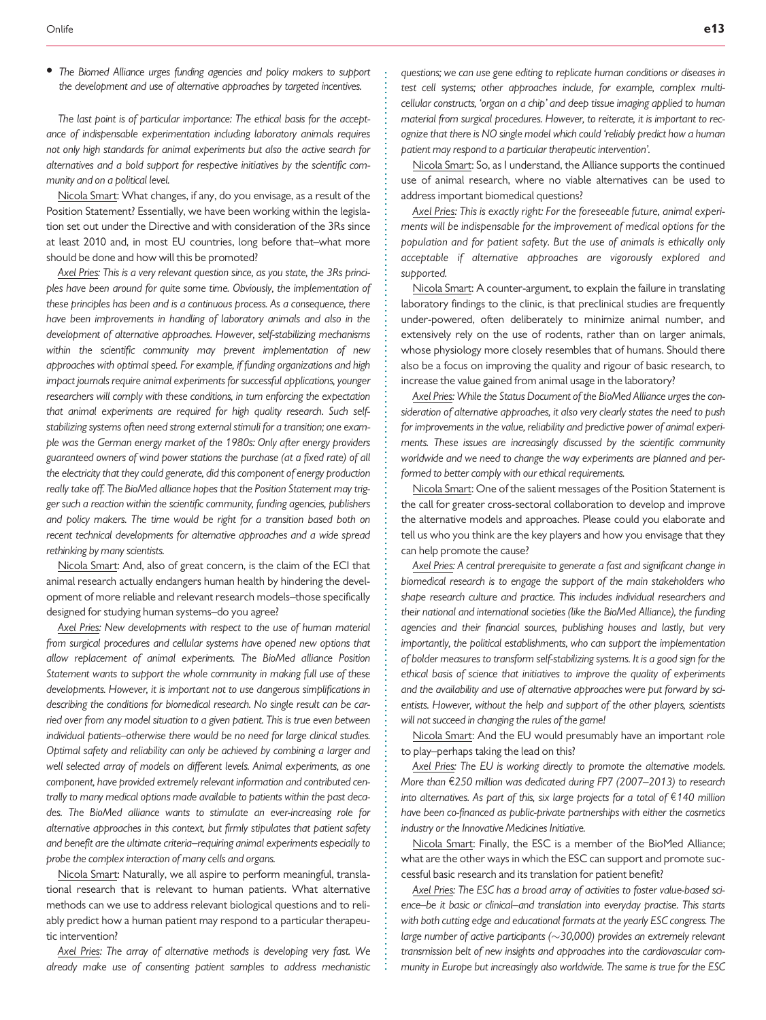The Biomed Alliance urges funding agencies and policy makers to support the development and use of alternative approaches by targeted incentives.

The last point is of particular importance: The ethical basis for the acceptance of indispensable experimentation including laboratory animals requires not only high standards for animal experiments but also the active search for alternatives and a bold support for respective initiatives by the scientific community and on a political level.

Nicola Smart: What changes, if any, do you envisage, as a result of the Position Statement? Essentially, we have been working within the legislation set out under the Directive and with consideration of the 3Rs since at least 2010 and, in most EU countries, long before that–what more should be done and how will this be promoted?

Axel Pries: This is a very relevant question since, as you state, the 3Rs principles have been around for quite some time. Obviously, the implementation of these principles has been and is a continuous process. As a consequence, there have been improvements in handling of laboratory animals and also in the development of alternative approaches. However, self-stabilizing mechanisms within the scientific community may prevent implementation of new approaches with optimal speed. For example, if funding organizations and high impact journals require animal experiments for successful applications, younger researchers will comply with these conditions, in turn enforcing the expectation that animal experiments are required for high quality research. Such selfstabilizing systems often need strong external stimuli for a transition; one example was the German energy market of the 1980s: Only after energy providers guaranteed owners of wind power stations the purchase (at a fixed rate) of all the electricity that they could generate, did this component of energy production really take off. The BioMed alliance hopes that the Position Statement may trigger such a reaction within the scientific community, funding agencies, publishers and policy makers. The time would be right for a transition based both on recent technical developments for alternative approaches and a wide spread rethinking by many scientists.

Nicola Smart: And, also of great concern, is the claim of the ECI that animal research actually endangers human health by hindering the development of more reliable and relevant research models–those specifically designed for studying human systems–do you agree?

Axel Pries: New developments with respect to the use of human material from surgical procedures and cellular systems have opened new options that allow replacement of animal experiments. The BioMed alliance Position Statement wants to support the whole community in making full use of these developments. However, it is important not to use dangerous simplifications in describing the conditions for biomedical research. No single result can be carried over from any model situation to a given patient. This is true even between individual patients–otherwise there would be no need for large clinical studies. Optimal safety and reliability can only be achieved by combining a larger and well selected array of models on different levels. Animal experiments, as one component, have provided extremely relevant information and contributed centrally to many medical options made available to patients within the past decades. The BioMed alliance wants to stimulate an ever-increasing role for alternative approaches in this context, but firmly stipulates that patient safety and benefit are the ultimate criteria–requiring animal experiments especially to probe the complex interaction of many cells and organs.

Nicola Smart: Naturally, we all aspire to perform meaningful, translational research that is relevant to human patients. What alternative methods can we use to address relevant biological questions and to reliably predict how a human patient may respond to a particular therapeutic intervention?

Axel Pries: The array of alternative methods is developing very fast. We already make use of consenting patient samples to address mechanistic . . . . . . . . . . . . . . . . . . . . . . . . . . . . . . . . . . . . . . . . . . . . . . . . . . . . . . . . . . . . . . . . . . . . . . . . . . . . . . . . . . . . . . . . . . . . . . . . . . . . . . . . . . . . . . . . . . . . . . . . . . . . . . . . . . . . . . . . . . . . . . . . . . . . . . . . . . . . . . . . . . . . . . . . . . . . . . . .

questions; we can use gene editing to replicate human conditions or diseases in test cell systems; other approaches include, for example, complex multicellular constructs, 'organ on a chip' and deep tissue imaging applied to human material from surgical procedures. However, to reiterate, it is important to recognize that there is NO single model which could 'reliably predict how a human patient may respond to a particular therapeutic intervention'.

Nicola Smart: So, as I understand, the Alliance supports the continued use of animal research, where no viable alternatives can be used to address important biomedical questions?

Axel Pries: This is exactly right: For the foreseeable future, animal experiments will be indispensable for the improvement of medical options for the population and for patient safety. But the use of animals is ethically only acceptable if alternative approaches are vigorously explored and supported.

Nicola Smart: A counter-argument, to explain the failure in translating laboratory findings to the clinic, is that preclinical studies are frequently under-powered, often deliberately to minimize animal number, and extensively rely on the use of rodents, rather than on larger animals, whose physiology more closely resembles that of humans. Should there also be a focus on improving the quality and rigour of basic research, to increase the value gained from animal usage in the laboratory?

Axel Pries: While the Status Document of the BioMed Alliance urges the consideration of alternative approaches, it also very clearly states the need to push for improvements in the value, reliability and predictive power of animal experiments. These issues are increasingly discussed by the scientific community worldwide and we need to change the way experiments are planned and performed to better comply with our ethical requirements.

Nicola Smart: One of the salient messages of the Position Statement is the call for greater cross-sectoral collaboration to develop and improve the alternative models and approaches. Please could you elaborate and tell us who you think are the key players and how you envisage that they can help promote the cause?

Axel Pries: A central prerequisite to generate a fast and significant change in biomedical research is to engage the support of the main stakeholders who shape research culture and practice. This includes individual researchers and their national and international societies (like the BioMed Alliance), the funding agencies and their financial sources, publishing houses and lastly, but very importantly, the political establishments, who can support the implementation of bolder measures to transform self-stabilizing systems. It is a good sign for the ethical basis of science that initiatives to improve the quality of experiments and the availability and use of alternative approaches were put forward by scientists. However, without the help and support of the other players, scientists will not succeed in changing the rules of the game!

Nicola Smart: And the EU would presumably have an important role to play–perhaps taking the lead on this?

Axel Pries: The EU is working directly to promote the alternative models. More than  $£250$  million was dedicated during FP7 (2007–2013) to research into alternatives. As part of this, six large projects for a total of  $\epsilon$ 140 million have been co-financed as public-private partnerships with either the cosmetics industry or the Innovative Medicines Initiative.

Nicola Smart: Finally, the ESC is a member of the BioMed Alliance; what are the other ways in which the ESC can support and promote successful basic research and its translation for patient benefit?

Axel Pries: The ESC has a broad array of activities to foster value-based science–be it basic or clinical–and translation into everyday practise. This starts with both cutting edge and educational formats at the yearly ESC congress. The large number of active participants ( $\sim$ 30,000) provides an extremely relevant transmission belt of new insights and approaches into the cardiovascular com munity in Europe but increasingly also worldwide. The same is true for the ESC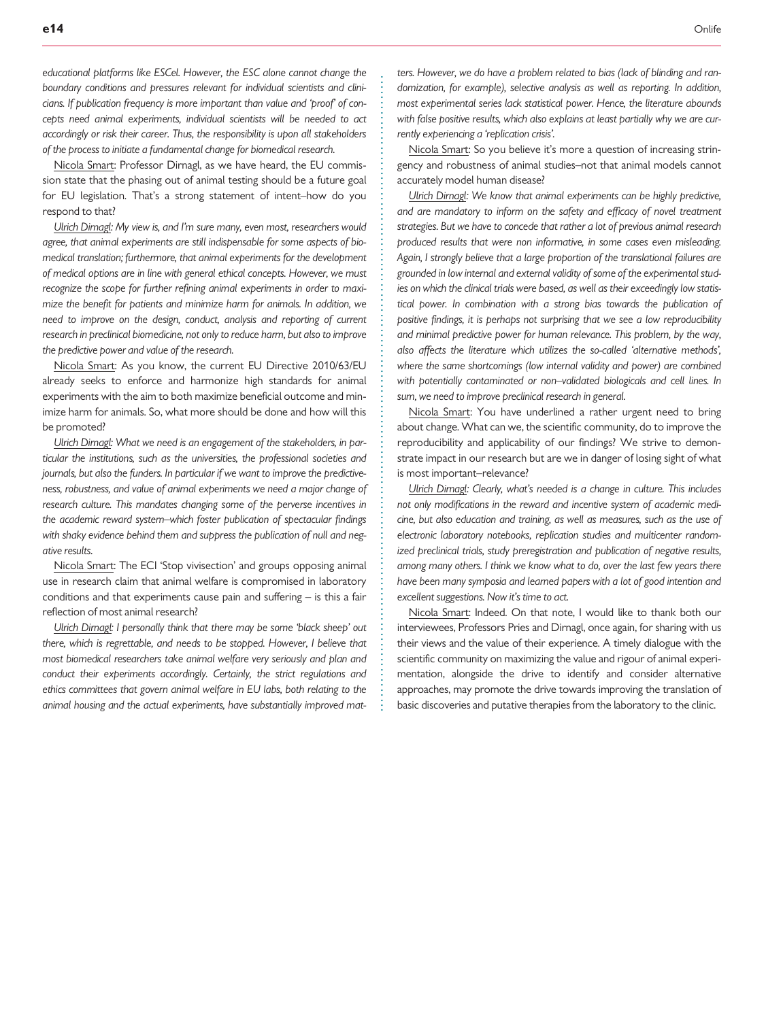Nicola Smart: Professor Dirnagl, as we have heard, the EU commission state that the phasing out of animal testing should be a future goal for EU legislation. That's a strong statement of intent–how do you respond to that?

Ulrich Dirnagl: My view is, and I'm sure many, even most, researchers would agree, that animal experiments are still indispensable for some aspects of biomedical translation; furthermore, that animal experiments for the development of medical options are in line with general ethical concepts. However, we must recognize the scope for further refining animal experiments in order to maximize the benefit for patients and minimize harm for animals. In addition, we need to improve on the design, conduct, analysis and reporting of current research in preclinical biomedicine, not only to reduce harm, but also to improve the predictive power and value of the research.

Nicola Smart: As you know, the current EU Directive 2010/63/EU already seeks to enforce and harmonize high standards for animal experiments with the aim to both maximize beneficial outcome and minimize harm for animals. So, what more should be done and how will this be promoted?

Ulrich Dirnagl: What we need is an engagement of the stakeholders, in particular the institutions, such as the universities, the professional societies and journals, but also the funders. In particular if we want to improve the predictiveness, robustness, and value of animal experiments we need a major change of research culture. This mandates changing some of the perverse incentives in the academic reward system–which foster publication of spectacular findings with shaky evidence behind them and suppress the publication of null and negative results.

Nicola Smart: The ECI 'Stop vivisection' and groups opposing animal use in research claim that animal welfare is compromised in laboratory conditions and that experiments cause pain and suffering – is this a fair reflection of most animal research?

Ulrich Dirnagl: I personally think that there may be some 'black sheep' out there, which is regrettable, and needs to be stopped. However, I believe that most biomedical researchers take animal welfare very seriously and plan and conduct their experiments accordingly. Certainly, the strict regulations and ethics committees that govern animal welfare in EU labs, both relating to the animal housing and the actual experiments, have substantially improved mat. . . . . . . . . . . . . . . . . . . . . . . . . . . . . . . . . . . . . . . . . . . . . . . . . . . . . . . . . . . . . . . . . . . . . . . . . . . . . . . . . . . . . . . . . . . . . . . . . . . . . . . . . . . . . . . . . . . . . . . . . . . . .

ters. However, we do have a problem related to bias (lack of blinding and randomization, for example), selective analysis as well as reporting. In addition, most experimental series lack statistical power. Hence, the literature abounds with false positive results, which also explains at least partially why we are currently experiencing a 'replication crisis'.

Nicola Smart: So you believe it's more a question of increasing stringency and robustness of animal studies–not that animal models cannot accurately model human disease?

Ulrich Dirnagl: We know that animal experiments can be highly predictive, and are mandatory to inform on the safety and efficacy of novel treatment strategies. But we have to concede that rather a lot of previous animal research produced results that were non informative, in some cases even misleading. Again, I strongly believe that a large proportion of the translational failures are grounded in low internal and external validity of some of the experimental studies on which the clinical trials were based, as well as their exceedingly low statistical power. In combination with a strong bias towards the publication of positive findings, it is perhaps not surprising that we see a low reproducibility and minimal predictive power for human relevance. This problem, by the way, also affects the literature which utilizes the so-called 'alternative methods', where the same shortcomings (low internal validity and power) are combined with potentially contaminated or non–validated biologicals and cell lines. In sum, we need to improve preclinical research in general.

Nicola Smart: You have underlined a rather urgent need to bring about change. What can we, the scientific community, do to improve the reproducibility and applicability of our findings? We strive to demonstrate impact in our research but are we in danger of losing sight of what is most important–relevance?

Ulrich Dirnagl: Clearly, what's needed is a change in culture. This includes not only modifications in the reward and incentive system of academic medicine, but also education and training, as well as measures, such as the use of electronic laboratory notebooks, replication studies and multicenter randomized preclinical trials, study preregistration and publication of negative results, among many others. I think we know what to do, over the last few years there have been many symposia and learned papers with a lot of good intention and excellent suggestions. Now it's time to act.

Nicola Smart: Indeed. On that note, I would like to thank both our interviewees, Professors Pries and Dirnagl, once again, for sharing with us their views and the value of their experience. A timely dialogue with the scientific community on maximizing the value and rigour of animal experimentation, alongside the drive to identify and consider alternative approaches, may promote the drive towards improving the translation of basic discoveries and putative therapies from the laboratory to the clinic. .